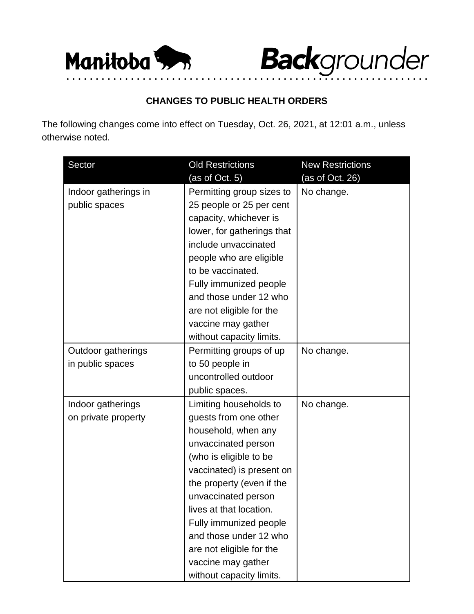

**Back**grounder

## **CHANGES TO PUBLIC HEALTH ORDERS**

• • • • • • • • • • • • • • • • • • • • • • • • • • • • • • • • • • • • • • • • • • • • • • • • • • • • • • • • • • • • • •

The following changes come into effect on Tuesday, Oct. 26, 2021, at 12:01 a.m., unless otherwise noted.

| Sector               | <b>Old Restrictions</b>    | <b>New Restrictions</b> |
|----------------------|----------------------------|-------------------------|
|                      | (as of Oct. 5)             | (as of Oct. 26)         |
| Indoor gatherings in | Permitting group sizes to  | No change.              |
| public spaces        | 25 people or 25 per cent   |                         |
|                      | capacity, whichever is     |                         |
|                      | lower, for gatherings that |                         |
|                      | include unvaccinated       |                         |
|                      | people who are eligible    |                         |
|                      | to be vaccinated.          |                         |
|                      | Fully immunized people     |                         |
|                      | and those under 12 who     |                         |
|                      | are not eligible for the   |                         |
|                      | vaccine may gather         |                         |
|                      | without capacity limits.   |                         |
| Outdoor gatherings   | Permitting groups of up    | No change.              |
| in public spaces     | to 50 people in            |                         |
|                      | uncontrolled outdoor       |                         |
|                      | public spaces.             |                         |
| Indoor gatherings    | Limiting households to     | No change.              |
| on private property  | guests from one other      |                         |
|                      | household, when any        |                         |
|                      | unvaccinated person        |                         |
|                      | (who is eligible to be     |                         |
|                      | vaccinated) is present on  |                         |
|                      | the property (even if the  |                         |
|                      | unvaccinated person        |                         |
|                      | lives at that location.    |                         |
|                      | Fully immunized people     |                         |
|                      | and those under 12 who     |                         |
|                      | are not eligible for the   |                         |
|                      | vaccine may gather         |                         |
|                      | without capacity limits.   |                         |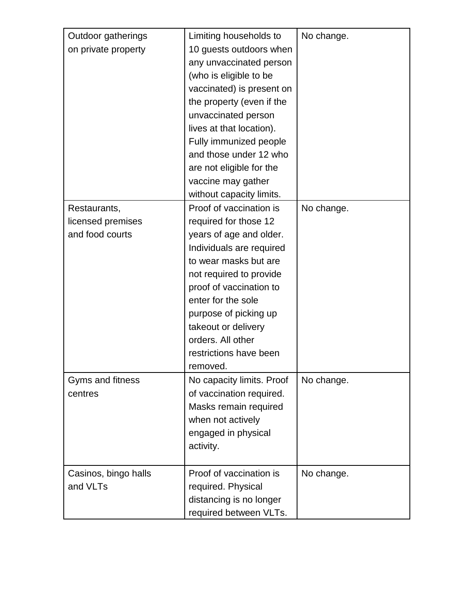| Outdoor gatherings<br>on private property            | Limiting households to<br>10 guests outdoors when<br>any unvaccinated person<br>(who is eligible to be<br>vaccinated) is present on<br>the property (even if the<br>unvaccinated person<br>lives at that location).<br>Fully immunized people<br>and those under 12 who<br>are not eligible for the<br>vaccine may gather | No change. |
|------------------------------------------------------|---------------------------------------------------------------------------------------------------------------------------------------------------------------------------------------------------------------------------------------------------------------------------------------------------------------------------|------------|
|                                                      | without capacity limits.                                                                                                                                                                                                                                                                                                  |            |
| Restaurants,<br>licensed premises<br>and food courts | Proof of vaccination is<br>required for those 12<br>years of age and older.<br>Individuals are required<br>to wear masks but are<br>not required to provide<br>proof of vaccination to<br>enter for the sole<br>purpose of picking up<br>takeout or delivery<br>orders. All other<br>restrictions have been<br>removed.   | No change. |
| Gyms and fitness<br>centres                          | No capacity limits. Proof<br>of vaccination required.<br>Masks remain required<br>when not actively<br>engaged in physical<br>activity.                                                                                                                                                                                   | No change. |
| Casinos, bingo halls<br>and VLTs                     | Proof of vaccination is<br>required. Physical<br>distancing is no longer<br>required between VLTs.                                                                                                                                                                                                                        | No change. |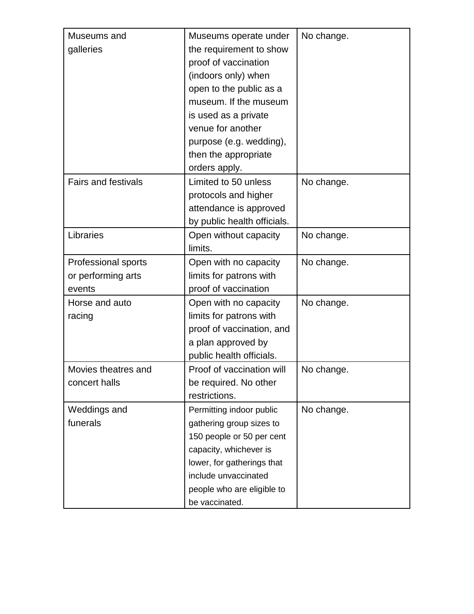| Museums and<br>galleries                                   | Museums operate under<br>the requirement to show<br>proof of vaccination<br>(indoors only) when<br>open to the public as a<br>museum. If the museum                                                               | No change. |
|------------------------------------------------------------|-------------------------------------------------------------------------------------------------------------------------------------------------------------------------------------------------------------------|------------|
|                                                            | is used as a private<br>venue for another<br>purpose (e.g. wedding),<br>then the appropriate                                                                                                                      |            |
| <b>Fairs and festivals</b>                                 | orders apply.<br>Limited to 50 unless<br>protocols and higher<br>attendance is approved<br>by public health officials.                                                                                            | No change. |
| Libraries                                                  | Open without capacity<br>limits.                                                                                                                                                                                  | No change. |
| <b>Professional sports</b><br>or performing arts<br>events | Open with no capacity<br>limits for patrons with<br>proof of vaccination                                                                                                                                          | No change. |
| Horse and auto<br>racing                                   | Open with no capacity<br>limits for patrons with<br>proof of vaccination, and<br>a plan approved by<br>public health officials.                                                                                   | No change. |
| Movies theatres and<br>concert halls                       | Proof of vaccination will<br>be required. No other<br>restrictions.                                                                                                                                               | No change. |
| Weddings and<br>funerals                                   | Permitting indoor public<br>gathering group sizes to<br>150 people or 50 per cent<br>capacity, whichever is<br>lower, for gatherings that<br>include unvaccinated<br>people who are eligible to<br>be vaccinated. | No change. |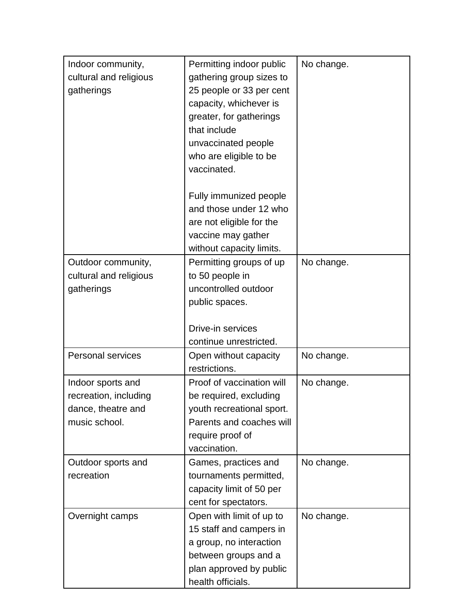| Indoor community,<br>cultural and religious<br>gatherings                         | Permitting indoor public<br>gathering group sizes to<br>25 people or 33 per cent<br>capacity, whichever is<br>greater, for gatherings<br>that include<br>unvaccinated people<br>who are eligible to be<br>vaccinated. | No change. |
|-----------------------------------------------------------------------------------|-----------------------------------------------------------------------------------------------------------------------------------------------------------------------------------------------------------------------|------------|
|                                                                                   | Fully immunized people<br>and those under 12 who<br>are not eligible for the<br>vaccine may gather<br>without capacity limits.                                                                                        |            |
| Outdoor community,<br>cultural and religious<br>gatherings                        | Permitting groups of up<br>to 50 people in<br>uncontrolled outdoor<br>public spaces.                                                                                                                                  | No change. |
|                                                                                   | Drive-in services<br>continue unrestricted.                                                                                                                                                                           |            |
| <b>Personal services</b>                                                          | Open without capacity<br>restrictions.                                                                                                                                                                                | No change. |
| Indoor sports and<br>recreation, including<br>dance, theatre and<br>music school. | Proof of vaccination will<br>be required, excluding<br>youth recreational sport.<br>Parents and coaches will<br>require proof of<br>vaccination.                                                                      | No change. |
| Outdoor sports and<br>recreation                                                  | Games, practices and<br>tournaments permitted,<br>capacity limit of 50 per<br>cent for spectators.                                                                                                                    | No change. |
| Overnight camps                                                                   | Open with limit of up to<br>15 staff and campers in<br>a group, no interaction<br>between groups and a<br>plan approved by public<br>health officials.                                                                | No change. |